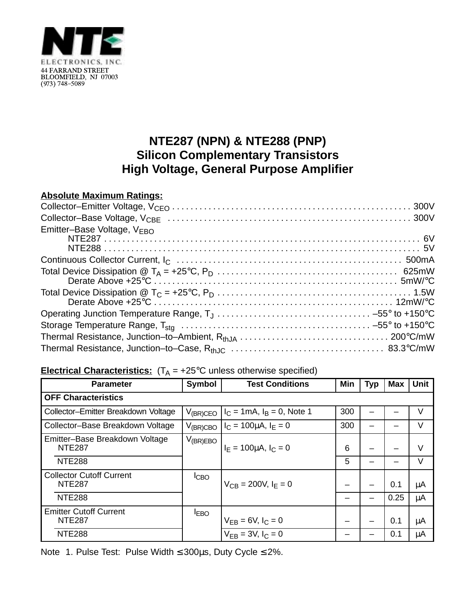

## **NTE287 (NPN) & NTE288 (PNP) Silicon Complementary Transistors High Voltage, General Purpose Amplifier**

## **Absolute Maximum Ratings:**

| Emitter-Base Voltage, VEBO |  |
|----------------------------|--|
|                            |  |
|                            |  |
|                            |  |
|                            |  |
|                            |  |
|                            |  |
|                            |  |

## **Electrical Characteristics:**  $(T_A = +25^\circ C$  unless otherwise specified)

| <b>Parameter</b>                                 | <b>Symbol</b>      | <b>Test Conditions</b>                | Min | Typ | <b>Max</b> | <b>Unit</b> |  |  |  |
|--------------------------------------------------|--------------------|---------------------------------------|-----|-----|------------|-------------|--|--|--|
| <b>OFF Characteristics</b>                       |                    |                                       |     |     |            |             |  |  |  |
| Collector-Emitter Breakdown Voltage              | $V_{(BR)CEO}$      | $I_C = 1 \text{mA}, I_B = 0$ , Note 1 | 300 |     |            | V           |  |  |  |
| Collector-Base Breakdown Voltage                 | $V_{\rm (BR) CBO}$ | $I_C = 100 \mu A$ , $I_F = 0$         | 300 |     |            | V           |  |  |  |
| Emitter-Base Breakdown Voltage<br><b>NTE287</b>  | $V_{(BR)EBO}$      | $I_F = 100 \mu A$ , $I_C = 0$         | 6   |     |            | V           |  |  |  |
| <b>NTE288</b>                                    |                    |                                       | 5   |     |            | V           |  |  |  |
| <b>Collector Cutoff Current</b><br><b>NTE287</b> | ICBO               | $V_{CB} = 200V, I_F = 0$              |     |     | 0.1        | μA          |  |  |  |
| <b>NTE288</b>                                    |                    |                                       |     |     | 0.25       | μA          |  |  |  |
| <b>Emitter Cutoff Current</b><br><b>NTE287</b>   | <b>IEBO</b>        | $V_{FB} = 6V, I_C = 0$                |     |     | 0.1        | μA          |  |  |  |
| <b>NTE288</b>                                    |                    | $V_{FB} = 3V, I_C = 0$                |     |     | 0.1        | μA          |  |  |  |

Note 1. Pulse Test: Pulse Width ≤ 300µs, Duty Cycle ≤ 2%.